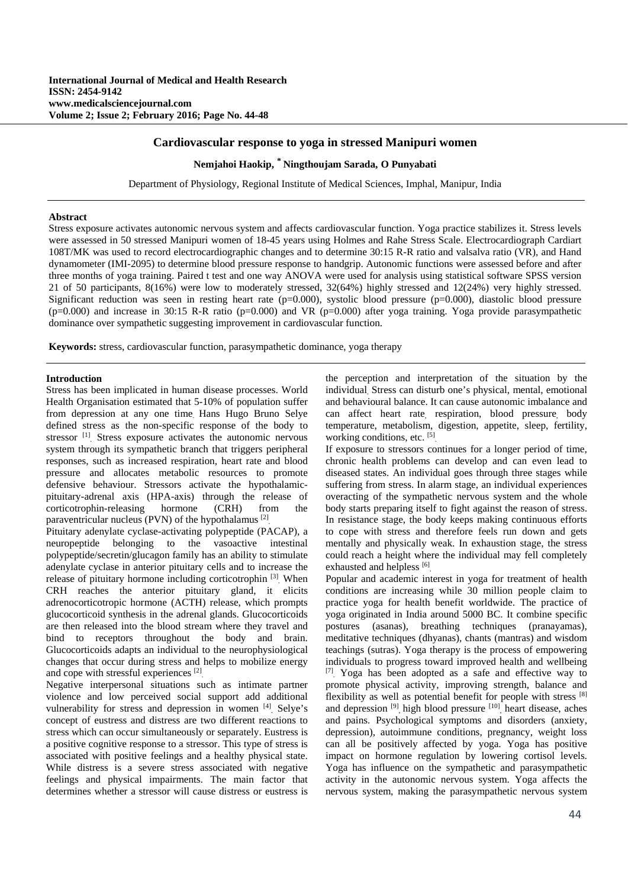### **Cardiovascular response to yoga in stressed Manipuri women**

## **Nemjahoi Haokip, \* Ningthoujam Sarada, O Punyabati**

Department of Physiology, Regional Institute of Medical Sciences, Imphal, Manipur, India

### **Abstract**

Stress exposure activates autonomic nervous system and affects cardiovascular function. Yoga practice stabilizes it. Stress levels were assessed in 50 stressed Manipuri women of 18-45 years using Holmes and Rahe Stress Scale. Electrocardiograph Cardiart 108T/MK was used to record electrocardiographic changes and to determine 30:15 R-R ratio and valsalva ratio (VR), and Hand dynamometer (IMI-2095) to determine blood pressure response to handgrip. Autonomic functions were assessed before and after three months of yoga training. Paired t test and one way ANOVA were used for analysis using statistical software SPSS version 21 of 50 participants, 8(16%) were low to moderately stressed, 32(64%) highly stressed and 12(24%) very highly stressed. Significant reduction was seen in resting heart rate  $(p=0.000)$ , systolic blood pressure  $(p=0.000)$ , diastolic blood pressure  $(p=0.000)$  and increase in 30:15 R-R ratio  $(p=0.000)$  and VR  $(p=0.000)$  after yoga training. Yoga provide parasympathetic dominance over sympathetic suggesting improvement in cardiovascular function.

**Keywords:** stress, cardiovascular function, parasympathetic dominance, yoga therapy

#### **Introduction**

Stress has been implicated in human disease processes. World Health Organisation estimated that 5-10% of population suffer from depression at any one time. Hans Hugo Bruno Selye defined stress as the non-specific response of the body to stressor [1]. Stress exposure activates the autonomic nervous system through its sympathetic branch that triggers peripheral responses, such as increased respiration, heart rate and blood pressure and allocates metabolic resources to promote defensive behaviour. Stressors activate the hypothalamicpituitary-adrenal axis (HPA-axis) through the release of corticotrophin-releasing hormone (CRH) from the paraventricular nucleus (PVN) of the hypothalamus [2].

Pituitary adenylate cyclase-activating polypeptide (PACAP), a neuropeptide belonging to the vasoactive intestinal polypeptide/secretin/glucagon family has an ability to stimulate adenylate cyclase in anterior pituitary cells and to increase the release of pituitary hormone including corticotrophin [3]. When CRH reaches the anterior pituitary gland, it elicits adrenocorticotropic hormone (ACTH) release, which prompts glucocorticoid synthesis in the adrenal glands. Glucocorticoids are then released into the blood stream where they travel and bind to receptors throughout the body and brain. Glucocorticoids adapts an individual to the neurophysiological changes that occur during stress and helps to mobilize energy and cope with stressful experiences [2].

Negative interpersonal situations such as intimate partner violence and low perceived social support add additional vulnerability for stress and depression in women [4]. Selye's concept of eustress and distress are two different reactions to stress which can occur simultaneously or separately. Eustress is a positive cognitive response to a stressor. This type of stress is associated with positive feelings and a healthy physical state. While distress is a severe stress associated with negative feelings and physical impairments. The main factor that determines whether a stressor will cause distress or eustress is the perception and interpretation of the situation by the individual. Stress can disturb one's physical, mental, emotional and behavioural balance. It can cause autonomic imbalance and can affect heart rate, respiration, blood pressure, body temperature, metabolism, digestion, appetite, sleep, fertility, working conditions, etc. [5].

If exposure to stressors continues for a longer period of time, chronic health problems can develop and can even lead to diseased states. An individual goes through three stages while suffering from stress. In alarm stage, an individual experiences overacting of the sympathetic nervous system and the whole body starts preparing itself to fight against the reason of stress. In resistance stage, the body keeps making continuous efforts to cope with stress and therefore feels run down and gets mentally and physically weak. In exhaustion stage, the stress could reach a height where the individual may fell completely exhausted and helpless [6].

Popular and academic interest in yoga for treatment of health conditions are increasing while 30 million people claim to practice yoga for health benefit worldwide. The practice of yoga originated in India around 5000 BC. It combine specific postures (asanas), breathing techniques (pranayamas), meditative techniques (dhyanas), chants (mantras) and wisdom teachings (sutras). Yoga therapy is the process of empowering individuals to progress toward improved health and wellbeing [7]. Yoga has been adopted as a safe and effective way to promote physical activity, improving strength, balance and flexibility as well as potential benefit for people with stress [8] and depression [9], high blood pressure [10], heart disease, aches and pains. Psychological symptoms and disorders (anxiety, depression), autoimmune conditions, pregnancy, weight loss can all be positively affected by yoga. Yoga has positive impact on hormone regulation by lowering cortisol levels. Yoga has influence on the sympathetic and parasympathetic activity in the autonomic nervous system. Yoga affects the nervous system, making the parasympathetic nervous system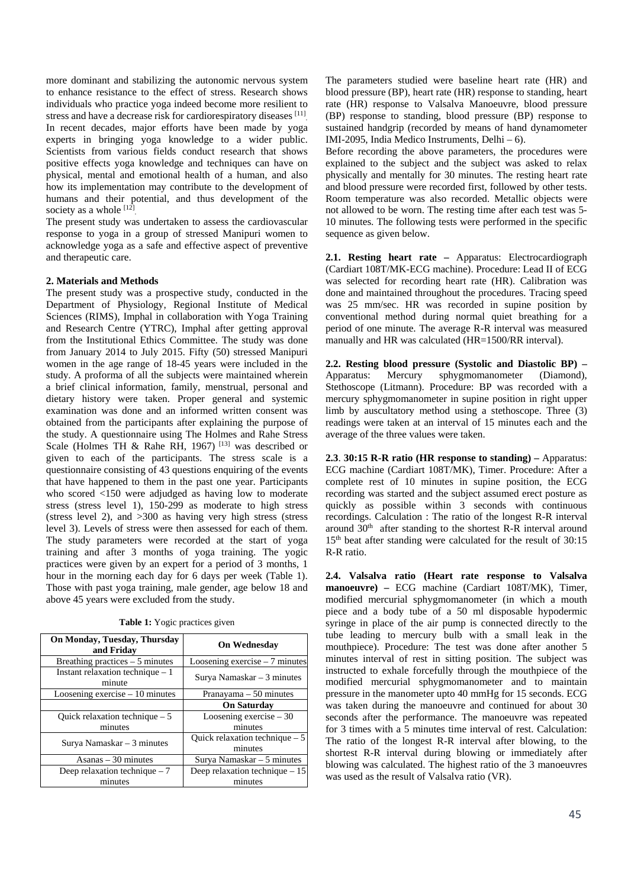more dominant and stabilizing the autonomic nervous system to enhance resistance to the effect of stress. Research shows individuals who practice yoga indeed become more resilient to stress and have a decrease risk for cardiorespiratory diseases [11]. In recent decades, major efforts have been made by yoga experts in bringing yoga knowledge to a wider public. Scientists from various fields conduct research that shows positive effects yoga knowledge and techniques can have on physical, mental and emotional health of a human, and also how its implementation may contribute to the development of humans and their potential, and thus development of the society as a whole [12].

The present study was undertaken to assess the cardiovascular response to yoga in a group of stressed Manipuri women to acknowledge yoga as a safe and effective aspect of preventive and therapeutic care.

### **2. Materials and Methods**

The present study was a prospective study, conducted in the Department of Physiology, Regional Institute of Medical Sciences (RIMS), Imphal in collaboration with Yoga Training and Research Centre (YTRC), Imphal after getting approval from the Institutional Ethics Committee. The study was done from January 2014 to July 2015. Fifty (50) stressed Manipuri women in the age range of 18-45 years were included in the study. A proforma of all the subjects were maintained wherein a brief clinical information, family, menstrual, personal and dietary history were taken. Proper general and systemic examination was done and an informed written consent was obtained from the participants after explaining the purpose of the study. A questionnaire using The Holmes and Rahe Stress Scale (Holmes TH & Rahe RH, 1967)<sup>[13]</sup> was described or given to each of the participants. The stress scale is a questionnaire consisting of 43 questions enquiring of the events that have happened to them in the past one year. Participants who scored <150 were adjudged as having low to moderate stress (stress level 1), 150-299 as moderate to high stress (stress level 2), and >300 as having very high stress (stress level 3). Levels of stress were then assessed for each of them. The study parameters were recorded at the start of yoga training and after 3 months of yoga training. The yogic practices were given by an expert for a period of 3 months, 1 hour in the morning each day for 6 days per week (Table 1). Those with past yoga training, male gender, age below 18 and above 45 years were excluded from the study.

**Table 1:** Yogic practices given

| On Monday, Tuesday, Thursday<br>and Friday  | <b>On Wednesday</b>             |  |
|---------------------------------------------|---------------------------------|--|
| Breathing practices $-5$ minutes            | Loosening exercise $-7$ minutes |  |
| Instant relaxation technique $-1$<br>minute | Surva Namaskar $-3$ minutes     |  |
| Loosening exercise $-10$ minutes            | Pranayama $-50$ minutes         |  |
|                                             | <b>On Saturday</b>              |  |
| Ouick relaxation technique $-5$             | Loosening exercise $-30$        |  |
| minutes                                     | minutes                         |  |
| Surva Namaskar $-3$ minutes                 | Quick relaxation technique $-5$ |  |
|                                             | minutes                         |  |
| $\text{Asanas} - 30 \text{ minutes}$        | Surya Namaskar $-5$ minutes     |  |
| Deep relaxation technique $-7$              | Deep relaxation technique $-15$ |  |
| minutes                                     | minutes                         |  |

The parameters studied were baseline heart rate (HR) and blood pressure (BP), heart rate (HR) response to standing, heart rate (HR) response to Valsalva Manoeuvre, blood pressure (BP) response to standing, blood pressure (BP) response to sustained handgrip (recorded by means of hand dynamometer IMI-2095, India Medico Instruments, Delhi – 6).

Before recording the above parameters, the procedures were explained to the subject and the subject was asked to relax physically and mentally for 30 minutes. The resting heart rate and blood pressure were recorded first, followed by other tests. Room temperature was also recorded. Metallic objects were not allowed to be worn. The resting time after each test was 5- 10 minutes. The following tests were performed in the specific sequence as given below.

**2.1. Resting heart rate –** Apparatus: Electrocardiograph (Cardiart 108T/MK-ECG machine). Procedure: Lead II of ECG was selected for recording heart rate (HR). Calibration was done and maintained throughout the procedures. Tracing speed was 25 mm/sec. HR was recorded in supine position by conventional method during normal quiet breathing for a period of one minute. The average R-R interval was measured manually and HR was calculated (HR=1500/RR interval).

**2.2. Resting blood pressure (Systolic and Diastolic BP) –**  Apparatus: Mercury sphygmomanometer (Diamond), Stethoscope (Litmann). Procedure: BP was recorded with a mercury sphygmomanometer in supine position in right upper limb by auscultatory method using a stethoscope. Three (3) readings were taken at an interval of 15 minutes each and the average of the three values were taken.

**2.3**. **30:15 R-R ratio (HR response to standing) –** Apparatus: ECG machine (Cardiart 108T/MK), Timer. Procedure: After a complete rest of 10 minutes in supine position, the ECG recording was started and the subject assumed erect posture as quickly as possible within 3 seconds with continuous recordings. Calculation : The ratio of the longest R-R interval around  $30<sup>th</sup>$  after standing to the shortest R-R interval around 15<sup>th</sup> beat after standing were calculated for the result of 30:15 R-R ratio.

**2.4. Valsalva ratio (Heart rate response to Valsalva manoeuvre) –** ECG machine (Cardiart 108T/MK), Timer, modified mercurial sphygmomanometer (in which a mouth piece and a body tube of a 50 ml disposable hypodermic syringe in place of the air pump is connected directly to the tube leading to mercury bulb with a small leak in the mouthpiece). Procedure: The test was done after another 5 minutes interval of rest in sitting position. The subject was instructed to exhale forcefully through the mouthpiece of the modified mercurial sphygmomanometer and to maintain pressure in the manometer upto 40 mmHg for 15 seconds. ECG was taken during the manoeuvre and continued for about 30 seconds after the performance. The manoeuvre was repeated for 3 times with a 5 minutes time interval of rest. Calculation: The ratio of the longest R-R interval after blowing, to the shortest R-R interval during blowing or immediately after blowing was calculated. The highest ratio of the 3 manoeuvres was used as the result of Valsalva ratio (VR).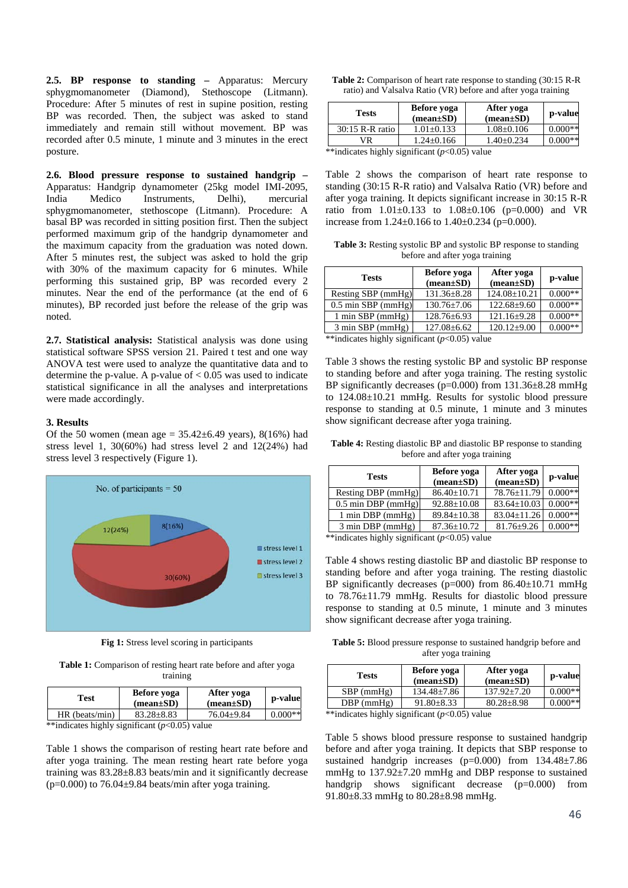**2.5. BP response to standing –** Apparatus: Mercury sphygmomanometer (Diamond), Stethoscope (Litmann). Procedure: After 5 minutes of rest in supine position, resting BP was recorded. Then, the subject was asked to stand immediately and remain still without movement. BP was recorded after 0.5 minute, 1 minute and 3 minutes in the erect posture.

**2.6. Blood pressure response to sustained handgrip –**  Apparatus: Handgrip dynamometer (25kg model IMI-2095, India Medico Instruments, Delhi), mercurial sphygmomanometer, stethoscope (Litmann). Procedure: A basal BP was recorded in sitting position first. Then the subject performed maximum grip of the handgrip dynamometer and the maximum capacity from the graduation was noted down. After 5 minutes rest, the subject was asked to hold the grip with 30% of the maximum capacity for 6 minutes. While performing this sustained grip, BP was recorded every 2 minutes. Near the end of the performance (at the end of 6 minutes), BP recorded just before the release of the grip was noted.

**2.7. Statistical analysis:** Statistical analysis was done using statistical software SPSS version 21. Paired t test and one way ANOVA test were used to analyze the quantitative data and to determine the p-value. A p-value of  $< 0.05$  was used to indicate statistical significance in all the analyses and interpretations were made accordingly.

#### **3. Results**

Of the 50 women (mean age =  $35.42 \pm 6.49$  years),  $8(16\%)$  had stress level 1, 30(60%) had stress level 2 and 12(24%) had stress level 3 respectively (Figure 1).



**Fig 1:** Stress level scoring in participants

**Table 1:** Comparison of resting heart rate before and after yoga training

| Test             | Before yoga<br>$(mean \pm SD)$ | After yoga<br>$(mean \pm SD)$ | p-value   |  |
|------------------|--------------------------------|-------------------------------|-----------|--|
| $HR$ (beats/min) | $83.28 \pm 8.83$               | $76.04 \pm 9.84$              | $0.000**$ |  |

\*\*indicates highly significant (*p*<0.05) value

Table 1 shows the comparison of resting heart rate before and after yoga training. The mean resting heart rate before yoga training was 83.28±8.83 beats/min and it significantly decrease  $(p=0.000)$  to 76.04 $\pm$ 9.84 beats/min after yoga training.

| <b>Table 2:</b> Comparison of heart rate response to standing (30:15 R-R) |
|---------------------------------------------------------------------------|
| ratio) and Valsalva Ratio (VR) before and after yoga training             |

| Before yoga<br>$(mean \pm SD)$ | After yoga<br>$mean \pm SD$ | p-value   |
|--------------------------------|-----------------------------|-----------|
| $1.01 \pm 0.133$               | $1.08 \pm 0.106$            | $0.000**$ |
| $1.24 \pm 0.166$               | $1.40+0.234$                | $0.000**$ |
|                                |                             |           |

 $*$ indicates highly significant ( $p<0.05$ ) value

Table 2 shows the comparison of heart rate response to standing (30:15 R-R ratio) and Valsalva Ratio (VR) before and after yoga training. It depicts significant increase in 30:15 R-R ratio from  $1.01\pm0.133$  to  $1.08\pm0.106$  (p=0.000) and VR increase from  $1.24 \pm 0.166$  to  $1.40 \pm 0.234$  (p=0.000).

**Table 3:** Resting systolic BP and systolic BP response to standing before and after yoga training

| <b>Tests</b>                                       | Before yoga<br>$(\text{mean}\pm S\text{D})$ | After yoga<br>$(mean \pm SD)$ | p-value   |  |  |
|----------------------------------------------------|---------------------------------------------|-------------------------------|-----------|--|--|
| Resting SBP (mmHg)                                 | $131.36 \pm 8.28$                           | $124.08 \pm 10.21$            | $0.000**$ |  |  |
| $0.5$ min SBP (mmHg)                               | $130.76 \pm 7.06$                           | $122.68 \pm 9.60$             | $0.000**$ |  |  |
| $1 \text{ min }$ SBP ( $mmHg$ )                    | $128.76 \pm 6.93$                           | $121.16 \pm 9.28$             | $0.000**$ |  |  |
| 3 min SBP (mmHg)                                   | $127.08 \pm 6.62$                           | $120.12 \pm 9.00$             | $0.000**$ |  |  |
| $**$ indicatos highly significant $(n<0.05)$ value |                                             |                               |           |  |  |

 $*$ indicates highly significant ( $p$ <0.05) value

Table 3 shows the resting systolic BP and systolic BP response to standing before and after yoga training. The resting systolic BP significantly decreases (p=0.000) from 131.36±8.28 mmHg to 124.08±10.21 mmHg. Results for systolic blood pressure response to standing at 0.5 minute, 1 minute and 3 minutes show significant decrease after yoga training.

**Table 4:** Resting diastolic BP and diastolic BP response to standing before and after yoga training

| <b>Tests</b>                        | Before yoga<br>$(mean \pm SD)$ | After yoga<br>$(mean \pm SD)$ | p-value   |
|-------------------------------------|--------------------------------|-------------------------------|-----------|
| Resting DBP (mmHg)                  | $86.40 \pm 10.71$              | 78.76+11.79                   | $0.000**$ |
| $0.5$ min DBP (mmHg)                | $92.88 \pm 10.08$              | $83.64 \pm 10.03$             | $0.000**$ |
| 1 min DBP (mmHg)                    | $89.84 \pm 10.38$              | $83.04 \pm 11.26$             | $0.000**$ |
| $3 \text{ min } DBP \text{ (mmHg)}$ | $87.36 \pm 10.72$              | $81.76 \pm 9.26$              | $0.000**$ |

\*\*indicates highly significant (*p*<0.05) value

Table 4 shows resting diastolic BP and diastolic BP response to standing before and after yoga training. The resting diastolic BP significantly decreases ( $p=000$ ) from 86.40 $\pm$ 10.71 mmHg to 78.76±11.79 mmHg. Results for diastolic blood pressure response to standing at 0.5 minute, 1 minute and 3 minutes show significant decrease after yoga training.

**Table 5:** Blood pressure response to sustained handgrip before and after yoga training

| Tests                                                | Before yoga<br>$(mean \pm SD)$ | After yoga<br>$(mean \pm SD)$ | p-value   |  |
|------------------------------------------------------|--------------------------------|-------------------------------|-----------|--|
| $SBP$ (mmHg)                                         | $134.48 \pm 7.86$              | $137.92 + 7.20$               | $0.000**$ |  |
| $DBP$ (mmHg)                                         | $91.80 \pm 8.33$               | $80.28 \pm 8.98$              | $0.000**$ |  |
| $***$ discretes bigbly significant (n $(0.65)$ velve |                                |                               |           |  |

 $*$ indicates highly significant ( $p$ <0.05) value

Table 5 shows blood pressure response to sustained handgrip before and after yoga training. It depicts that SBP response to sustained handgrip increases (p=0.000) from 134.48±7.86 mmHg to 137.92±7.20 mmHg and DBP response to sustained handgrip shows significant decrease (p=0.000) from 91.80±8.33 mmHg to 80.28±8.98 mmHg.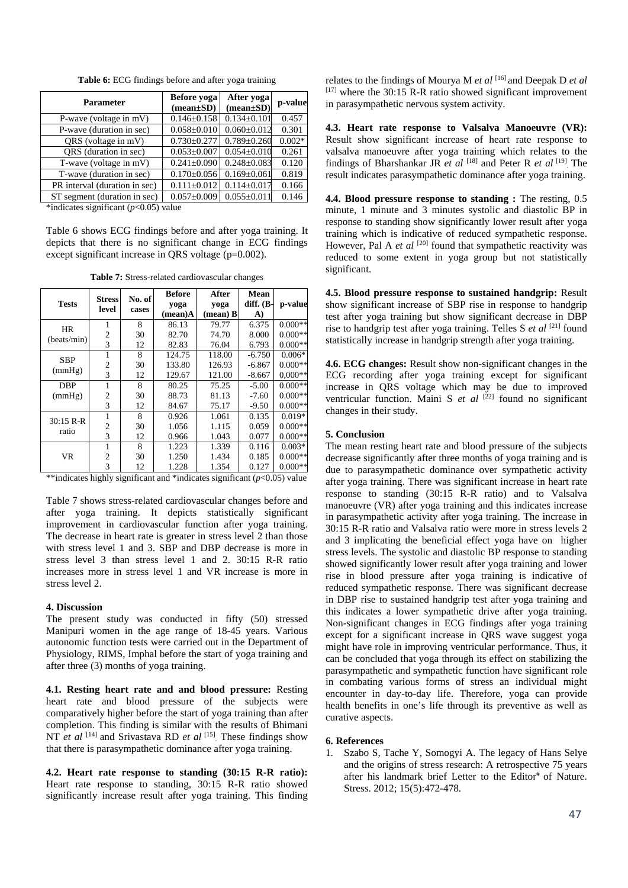| <b>Parameter</b>              | Before yoga<br>$(mean \pm SD)$ | After yoga<br>$(mean \pm SD)$ | p-value  |
|-------------------------------|--------------------------------|-------------------------------|----------|
| P-wave (voltage in mV)        | $0.146 \pm 0.158$              | $0.134 \pm 0.101$             | 0.457    |
| P-wave (duration in sec)      | $0.058 \pm 0.010$              | $0.060 \pm 0.012$             | 0.301    |
| QRS (voltage in mV)           | $0.730 \pm 0.277$              | $0.789 \pm 0.260$             | $0.002*$ |
| QRS (duration in sec)         | $0.053 \pm 0.007$              | $0.054 \pm 0.010$             | 0.261    |
| T-wave (voltage in mV)        | $0.241 \pm 0.090$              | $0.248 \pm 0.083$             | 0.120    |
| T-wave (duration in sec)      | $0.170 \pm 0.056$              | $0.169 \pm 0.061$             | 0.819    |
| PR interval (duration in sec) | $0.111 \pm 0.012$              | $0.114 \pm 0.017$             | 0.166    |
| ST segment (duration in sec)  | $0.057 \pm 0.009$              | $0.055 \pm 0.011$             | 0.146    |

**Table 6:** ECG findings before and after yoga training

\*indicates significant (*p*<0.05) value

Table 6 shows ECG findings before and after yoga training. It depicts that there is no significant change in ECG findings except significant increase in ORS voltage (p=0.002).

**Table 7:** Stress-related cardiovascular changes

|              | <b>Stress</b>  | No. of | <b>Before</b> | After             | Mean      |           |
|--------------|----------------|--------|---------------|-------------------|-----------|-----------|
| <b>Tests</b> | level          | cases  | yoga          | yoga              | diff. (B- | p-value   |
|              |                |        | $(mean)$ A    | $(\text{mean})$ B | A)        |           |
| <b>HR</b>    |                | 8      | 86.13         | 79.77             | 6.375     | $0.000**$ |
| (beats/min)  | 2              | 30     | 82.70         | 74.70             | 8.000     | $0.000**$ |
|              | 3              | 12     | 82.83         | 76.04             | 6.793     | $0.000**$ |
| <b>SBP</b>   |                | 8      | 124.75        | 118.00            | $-6.750$  | $0.006*$  |
| (mmHg)       | $\overline{2}$ | 30     | 133.80        | 126.93            | $-6.867$  | $0.000**$ |
|              | 3              | 12     | 129.67        | 121.00            | $-8.667$  | $0.000**$ |
| DBP          | 1              | 8      | 80.25         | 75.25             | $-5.00$   | $0.000**$ |
| (mmHg)       | $\overline{2}$ | 30     | 88.73         | 81.13             | $-7.60$   | $0.000**$ |
|              | 3              | 12     | 84.67         | 75.17             | $-9.50$   | $0.000**$ |
| $30:15 R-R$  |                | 8      | 0.926         | 1.061             | 0.135     | $0.019*$  |
| ratio        | $\overline{2}$ | 30     | 1.056         | 1.115             | 0.059     | $0.000**$ |
|              | 3              | 12     | 0.966         | 1.043             | 0.077     | $0.000**$ |
| <b>VR</b>    |                | 8      | 1.223         | 1.339             | 0.116     | $0.003*$  |
|              | 2              | 30     | 1.250         | 1.434             | 0.185     | $0.000**$ |
|              | 3              | 12     | 1.228         | 1.354             | 0.127     | $0.000**$ |

\*\*indicates highly significant and \*indicates significant (*p*<0.05) value

Table 7 shows stress-related cardiovascular changes before and after yoga training. It depicts statistically significant improvement in cardiovascular function after yoga training. The decrease in heart rate is greater in stress level 2 than those with stress level 1 and 3. SBP and DBP decrease is more in stress level 3 than stress level 1 and 2. 30:15 R-R ratio increases more in stress level 1 and VR increase is more in stress level 2.

### **4. Discussion**

The present study was conducted in fifty (50) stressed Manipuri women in the age range of 18-45 years. Various autonomic function tests were carried out in the Department of Physiology, RIMS, Imphal before the start of yoga training and after three (3) months of yoga training.

**4.1. Resting heart rate and and blood pressure:** Resting heart rate and blood pressure of the subjects were comparatively higher before the start of yoga training than after completion. This finding is similar with the results of Bhimani NT *et al* [14] and Srivastava RD *et al* [15]. These findings show that there is parasympathetic dominance after yoga training.

**4.2. Heart rate response to standing (30:15 R-R ratio):**  Heart rate response to standing, 30:15 R-R ratio showed significantly increase result after yoga training. This finding relates to the findings of Mourya M *et al* [16] and Deepak D *et al*  $[17]$  where the 30:15 R-R ratio showed significant improvement in parasympathetic nervous system activity.

**4.3. Heart rate response to Valsalva Manoeuvre (VR):**  Result show significant increase of heart rate response to valsalva manoeuvre after yoga training which relates to the findings of Bharshankar JR *et al* [18] and Peter R *et al* [19]. The result indicates parasympathetic dominance after yoga training.

**4.4. Blood pressure response to standing :** The resting, 0.5 minute, 1 minute and 3 minutes systolic and diastolic BP in response to standing show significantly lower result after yoga training which is indicative of reduced sympathetic response. However, Pal A *et al* <sup>[20]</sup> found that sympathetic reactivity was reduced to some extent in yoga group but not statistically significant.

**4.5. Blood pressure response to sustained handgrip:** Result show significant increase of SBP rise in response to handgrip test after yoga training but show significant decrease in DBP rise to handgrip test after yoga training. Telles S *et al* [21] found statistically increase in handgrip strength after yoga training.

**4.6. ECG changes:** Result show non-significant changes in the ECG recording after yoga training except for significant increase in QRS voltage which may be due to improved ventricular function. Maini S *et al* <sup>[22]</sup> found no significant changes in their study.

## **5. Conclusion**

The mean resting heart rate and blood pressure of the subjects decrease significantly after three months of yoga training and is due to parasympathetic dominance over sympathetic activity after yoga training. There was significant increase in heart rate response to standing (30:15 R-R ratio) and to Valsalva manoeuvre (VR) after yoga training and this indicates increase in parasympathetic activity after yoga training. The increase in 30:15 R-R ratio and Valsalva ratio were more in stress levels 2 and 3 implicating the beneficial effect yoga have on higher stress levels. The systolic and diastolic BP response to standing showed significantly lower result after yoga training and lower rise in blood pressure after yoga training is indicative of reduced sympathetic response. There was significant decrease in DBP rise to sustained handgrip test after yoga training and this indicates a lower sympathetic drive after yoga training. Non-significant changes in ECG findings after yoga training except for a significant increase in QRS wave suggest yoga might have role in improving ventricular performance. Thus, it can be concluded that yoga through its effect on stabilizing the parasympathetic and sympathetic function have significant role in combating various forms of stress an individual might encounter in day-to-day life. Therefore, yoga can provide health benefits in one's life through its preventive as well as curative aspects.

# **6. References**

1. Szabo S, Tache Y, Somogyi A. The legacy of Hans Selye and the origins of stress research: A retrospective 75 years after his landmark brief Letter to the Editor# of Nature. Stress. 2012; 15(5):472-478.